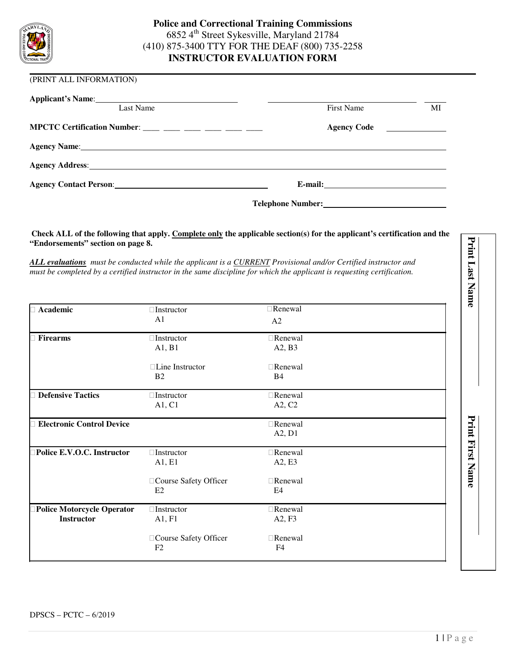

#### (PRINT ALL INFORMATION)

| Applicant's Name: Names                                                                                                                                                                                                        |                          |                                                                                                                                                                                                                                      |
|--------------------------------------------------------------------------------------------------------------------------------------------------------------------------------------------------------------------------------|--------------------------|--------------------------------------------------------------------------------------------------------------------------------------------------------------------------------------------------------------------------------------|
| Last Name                                                                                                                                                                                                                      | <b>First Name</b>        | МI                                                                                                                                                                                                                                   |
| MPCTC Certification Number: $\frac{1}{2}$ $\frac{1}{2}$ $\frac{1}{2}$ $\frac{1}{2}$ $\frac{1}{2}$ $\frac{1}{2}$ $\frac{1}{2}$ $\frac{1}{2}$                                                                                    | <b>Agency Code</b>       | <u>and the state of the state of the state of the state of the state of the state of the state of the state of the state of the state of the state of the state of the state of the state of the state of the state of the state</u> |
| Agency Name: 1988 and 2008 and 2008 and 2008 and 2008 and 2008 and 2008 and 2008 and 2008 and 2008 and 2008 and 2008 and 2008 and 2008 and 2008 and 2008 and 2008 and 2008 and 2008 and 2008 and 2008 and 2008 and 2008 and 20 |                          |                                                                                                                                                                                                                                      |
| Agency Address: 1988 and 2008 and 2008 and 2008 and 2008 and 2008 and 2008 and 2008 and 2008 and 2008 and 2008 and 2008 and 2008 and 2008 and 2008 and 2008 and 2008 and 2008 and 2008 and 2008 and 2008 and 2008 and 2008 and |                          |                                                                                                                                                                                                                                      |
|                                                                                                                                                                                                                                |                          |                                                                                                                                                                                                                                      |
|                                                                                                                                                                                                                                | <b>Telephone Number:</b> |                                                                                                                                                                                                                                      |

#### **Check ALL of the following that apply. Complete only the applicable section(s) for the applicant's certification and the "Endorsements" section on page 8.**

| <b>Academic</b>                                        | Instructor<br>A1            | Renewal<br>A2             |  |
|--------------------------------------------------------|-----------------------------|---------------------------|--|
| <b>Firearms</b>                                        | Instructor<br>A1, B1        | Renewal<br>A2, B3         |  |
|                                                        | Line Instructor<br>B2       | Renewal<br>B4             |  |
| <b>Defensive Tactics</b>                               | Instructor<br>A1, C1        | Renewal<br>A2, C2         |  |
| <b>Electronic Control Device</b>                       |                             | Renewal<br>A2, D1         |  |
| Police E.V.O.C. Instructor                             | Instructor<br>A1, E1        | Renewal<br>A2, E3         |  |
|                                                        | Course Safety Officer<br>E2 | Renewal<br>E4             |  |
| <b>Police Motorcycle Operator</b><br><b>Instructor</b> | Instructor<br>A1, F1        | Renewal<br>A2, F3         |  |
|                                                        | Course Safety Officer<br>F2 | Renewal<br>F <sub>4</sub> |  |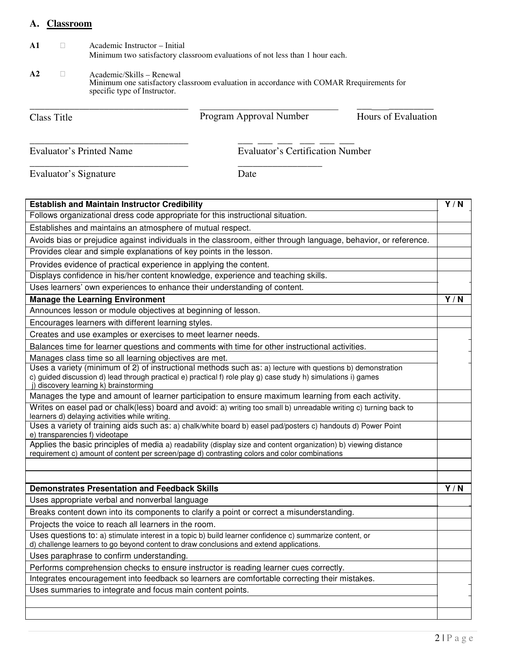## **A. Classroom**

**A1** Academic Instructor – Initial Minimum two satisfactory classroom evaluations of not less than 1 hour each.

\_\_\_\_\_\_\_\_\_\_\_\_\_\_\_\_\_\_\_\_\_\_\_\_\_\_\_\_\_\_\_\_ \_\_\_ \_\_\_ \_\_\_ \_\_\_ \_\_\_ \_\_\_

\_\_\_\_\_\_\_\_\_\_\_\_\_\_\_\_\_\_\_\_\_\_\_\_\_\_\_\_\_\_\_\_ \_\_\_\_\_\_\_\_\_\_\_\_\_\_\_\_\_

**A2** Academic/Skills – Renewal Minimum one satisfactory classroom evaluation in accordance with COMAR Rrequirements for specific type of Instructor.

\_\_\_\_\_\_\_\_\_\_\_\_\_\_\_\_\_\_\_\_\_\_\_\_\_\_\_\_\_\_\_\_ \_\_\_ \_\_\_\_\_\_\_\_\_

Class Title **Example 2** Program Approval Number **Hours of Evaluation** Program Approval Number

 $\overline{\phantom{a}}$  , and the set of the set of the set of the set of the set of the set of the set of the set of the set of the set of the set of the set of the set of the set of the set of the set of the set of the set of the s

Evaluator's Printed Name Evaluator's Certification Number

| <b>Establish and Maintain Instructor Credibility</b>                                                                                                                                                | $\overline{Y/N}$ |
|-----------------------------------------------------------------------------------------------------------------------------------------------------------------------------------------------------|------------------|
| Follows organizational dress code appropriate for this instructional situation.                                                                                                                     |                  |
| Establishes and maintains an atmosphere of mutual respect.                                                                                                                                          |                  |
| Avoids bias or prejudice against individuals in the classroom, either through language, behavior, or reference.                                                                                     |                  |
| Provides clear and simple explanations of key points in the lesson.                                                                                                                                 |                  |
| Provides evidence of practical experience in applying the content.                                                                                                                                  |                  |
| Displays confidence in his/her content knowledge, experience and teaching skills.                                                                                                                   |                  |
| Uses learners' own experiences to enhance their understanding of content.                                                                                                                           |                  |
| <b>Manage the Learning Environment</b>                                                                                                                                                              | Y/N              |
| Announces lesson or module objectives at beginning of lesson.                                                                                                                                       |                  |
| Encourages learners with different learning styles.                                                                                                                                                 |                  |
| Creates and use examples or exercises to meet learner needs.                                                                                                                                        |                  |
| Balances time for learner questions and comments with time for other instructional activities.                                                                                                      |                  |
| Manages class time so all learning objectives are met.                                                                                                                                              |                  |
| Uses a variety (minimum of 2) of instructional methods such as: a) lecture with questions b) demonstration                                                                                          |                  |
| c) guided discussion d) lead through practical e) practical f) role play g) case study h) simulations i) games<br>j) discovery learning k) brainstorming                                            |                  |
| Manages the type and amount of learner participation to ensure maximum learning from each activity.                                                                                                 |                  |
| Writes on easel pad or chalk(less) board and avoid: a) writing too small b) unreadable writing c) turning back to<br>learners d) delaying activities while writing.                                 |                  |
| Uses a variety of training aids such as: a) chalk/white board b) easel pad/posters c) handouts d) Power Point<br>e) transparencies f) videotape                                                     |                  |
| Applies the basic principles of media a) readability (display size and content organization) b) viewing distance                                                                                    |                  |
| requirement c) amount of content per screen/page d) contrasting colors and color combinations                                                                                                       |                  |
|                                                                                                                                                                                                     |                  |
|                                                                                                                                                                                                     |                  |
| <b>Demonstrates Presentation and Feedback Skills</b>                                                                                                                                                | Y/N              |
| Uses appropriate verbal and nonverbal language                                                                                                                                                      |                  |
| Breaks content down into its components to clarify a point or correct a misunderstanding.                                                                                                           |                  |
| Projects the voice to reach all learners in the room.                                                                                                                                               |                  |
| Uses questions to: a) stimulate interest in a topic b) build learner confidence c) summarize content, or<br>d) challenge learners to go beyond content to draw conclusions and extend applications. |                  |
| Uses paraphrase to confirm understanding.                                                                                                                                                           |                  |
| Performs comprehension checks to ensure instructor is reading learner cues correctly.                                                                                                               |                  |
| Integrates encouragement into feedback so learners are comfortable correcting their mistakes.                                                                                                       |                  |
| Uses summaries to integrate and focus main content points.                                                                                                                                          |                  |
|                                                                                                                                                                                                     |                  |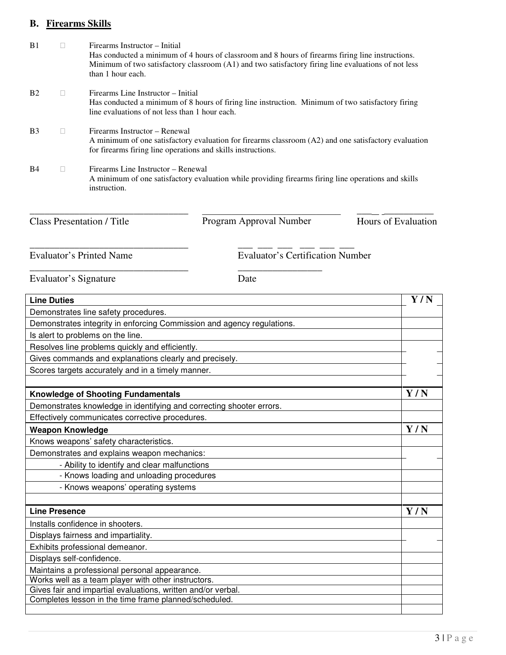## **B. Firearms Skills**

| B1             | Firearms Instructor – Initial<br>than 1 hour each.                                                                                                                                                    | Has conducted a minimum of 4 hours of classroom and 8 hours of firearms firing line instructions.<br>Minimum of two satisfactory classroom (A1) and two satisfactory firing line evaluations of not less |                     |
|----------------|-------------------------------------------------------------------------------------------------------------------------------------------------------------------------------------------------------|----------------------------------------------------------------------------------------------------------------------------------------------------------------------------------------------------------|---------------------|
| B <sub>2</sub> | Firearms Line Instructor – Initial<br>line evaluations of not less than 1 hour each.                                                                                                                  | Has conducted a minimum of 8 hours of firing line instruction. Minimum of two satisfactory firing                                                                                                        |                     |
| B <sub>3</sub> | Firearms Instructor – Renewal<br>A minimum of one satisfactory evaluation for firearms classroom (A2) and one satisfactory evaluation<br>for firearms firing line operations and skills instructions. |                                                                                                                                                                                                          |                     |
| <b>B</b> 4     | Firearms Line Instructor – Renewal<br>instruction.                                                                                                                                                    | A minimum of one satisfactory evaluation while providing firearms firing line operations and skills                                                                                                      |                     |
|                | <b>Class Presentation / Title</b>                                                                                                                                                                     | Program Approval Number                                                                                                                                                                                  | Hours of Evaluation |

Evaluator's Printed Name Evaluator's Certification Number \_\_\_\_\_\_\_\_\_\_\_\_\_\_\_\_\_\_\_\_\_\_\_\_\_\_\_\_\_\_\_\_ \_\_\_\_\_\_\_\_\_\_\_\_\_\_\_\_\_

| <b>Line Duties</b>                                                                                                    | Y/N |
|-----------------------------------------------------------------------------------------------------------------------|-----|
| Demonstrates line safety procedures.                                                                                  |     |
| Demonstrates integrity in enforcing Commission and agency regulations.                                                |     |
| Is alert to problems on the line.                                                                                     |     |
| Resolves line problems quickly and efficiently.                                                                       |     |
| Gives commands and explanations clearly and precisely.                                                                |     |
| Scores targets accurately and in a timely manner.                                                                     |     |
|                                                                                                                       |     |
| <b>Knowledge of Shooting Fundamentals</b>                                                                             | Y/N |
| Demonstrates knowledge in identifying and correcting shooter errors.                                                  |     |
| Effectively communicates corrective procedures.                                                                       |     |
| <b>Weapon Knowledge</b>                                                                                               | Y/N |
| Knows weapons' safety characteristics.                                                                                |     |
| Demonstrates and explains weapon mechanics:                                                                           |     |
| - Ability to identify and clear malfunctions                                                                          |     |
| - Knows loading and unloading procedures                                                                              |     |
| - Knows weapons' operating systems                                                                                    |     |
|                                                                                                                       |     |
| <b>Line Presence</b>                                                                                                  | Y/N |
| Installs confidence in shooters.                                                                                      |     |
| Displays fairness and impartiality.                                                                                   |     |
| Exhibits professional demeanor.                                                                                       |     |
| Displays self-confidence.                                                                                             |     |
| Maintains a professional personal appearance.                                                                         |     |
| Works well as a team player with other instructors.                                                                   |     |
| Gives fair and impartial evaluations, written and/or verbal.<br>Completes lesson in the time frame planned/scheduled. |     |
|                                                                                                                       |     |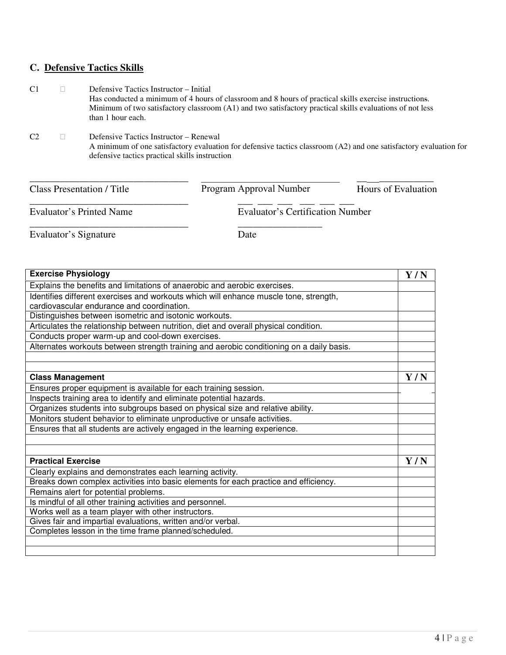# **C. Defensive Tactics Skills**

| C <sub>1</sub> | Defensive Tactics Instructor – Initial<br>Has conducted a minimum of 4 hours of classroom and 8 hours of practical skills exercise instructions.<br>Minimum of two satisfactory classroom (A1) and two satisfactory practical skills evaluations of not less<br>than 1 hour each. |
|----------------|-----------------------------------------------------------------------------------------------------------------------------------------------------------------------------------------------------------------------------------------------------------------------------------|
| C <sub>2</sub> | Defensive Tactics Instructor – Renewal<br>A minimum of one satisfactory evaluation for defensive tactics classroom (A2) and one satisfactory evaluation for<br>defensive tactics practical skills instruction                                                                     |

| <b>Class Presentation / Title</b> | Program Approval Number          | Hours of Evaluation |
|-----------------------------------|----------------------------------|---------------------|
| Evaluator's Printed Name          | Evaluator's Certification Number |                     |
|                                   |                                  |                     |

| <b>Exercise Physiology</b>                                                               | Y/N |
|------------------------------------------------------------------------------------------|-----|
| Explains the benefits and limitations of anaerobic and aerobic exercises.                |     |
| Identifies different exercises and workouts which will enhance muscle tone, strength,    |     |
| cardiovascular endurance and coordination.                                               |     |
| Distinguishes between isometric and isotonic workouts.                                   |     |
| Articulates the relationship between nutrition, diet and overall physical condition.     |     |
| Conducts proper warm-up and cool-down exercises.                                         |     |
| Alternates workouts between strength training and aerobic conditioning on a daily basis. |     |
|                                                                                          |     |
| <b>Class Management</b>                                                                  | Y/N |
| Ensures proper equipment is available for each training session.                         |     |
| Inspects training area to identify and eliminate potential hazards.                      |     |
| Organizes students into subgroups based on physical size and relative ability.           |     |
| Monitors student behavior to eliminate unproductive or unsafe activities.                |     |
| Ensures that all students are actively engaged in the learning experience.               |     |
|                                                                                          |     |
|                                                                                          |     |
| <b>Practical Exercise</b>                                                                | Y/N |
| Clearly explains and demonstrates each learning activity.                                |     |
| Breaks down complex activities into basic elements for each practice and efficiency.     |     |
| Remains alert for potential problems.                                                    |     |
| Is mindful of all other training activities and personnel.                               |     |
| Works well as a team player with other instructors.                                      |     |
| Gives fair and impartial evaluations, written and/or verbal.                             |     |
| Completes lesson in the time frame planned/scheduled.                                    |     |
|                                                                                          |     |
|                                                                                          |     |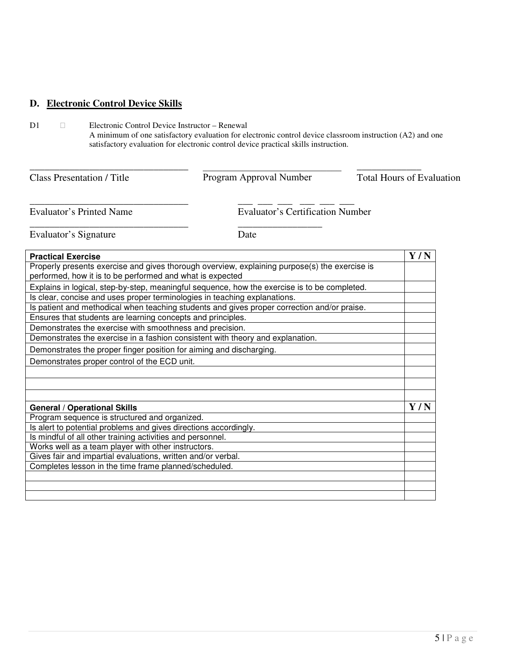### **D. Electronic Control Device Skills**

D1 Electronic Control Device Instructor – Renewal A minimum of one satisfactory evaluation for electronic control device classroom instruction (A2) and one satisfactory evaluation for electronic control device practical skills instruction.

\_\_\_\_\_\_\_\_\_\_\_\_\_\_\_\_\_\_\_\_\_\_\_\_\_\_\_\_\_\_\_\_ \_\_\_\_\_\_\_\_\_\_\_\_\_ Class Presentation / Title **The Program Approval Number** Total Hours of Evaluation  $\mathcal{L}_\mathcal{L}$  , which is a set of the set of the set of the set of the set of the set of the set of the set of the set of the set of the set of the set of the set of the set of the set of the set of the set of the set of

Evaluator's Printed Name Evaluator's Certification Number

Evaluator's Signature Date

\_\_\_\_\_\_\_\_\_\_\_\_\_\_\_\_\_\_\_\_\_\_\_\_\_\_\_\_\_\_\_\_ \_\_\_ \_\_\_ \_\_\_ \_\_\_ \_\_\_ \_\_\_

\_\_\_\_\_\_\_\_\_\_\_\_\_\_\_\_\_\_\_\_\_\_\_\_\_\_\_\_\_\_\_\_ \_\_\_\_\_\_\_\_\_\_\_\_\_\_\_\_\_

| <b>Practical Exercise</b>                                                                     | Y/N |
|-----------------------------------------------------------------------------------------------|-----|
| Properly presents exercise and gives thorough overview, explaining purpose(s) the exercise is |     |
| performed, how it is to be performed and what is expected                                     |     |
| Explains in logical, step-by-step, meaningful sequence, how the exercise is to be completed.  |     |
| Is clear, concise and uses proper terminologies in teaching explanations.                     |     |
| Is patient and methodical when teaching students and gives proper correction and/or praise.   |     |
| Ensures that students are learning concepts and principles.                                   |     |
| Demonstrates the exercise with smoothness and precision.                                      |     |
| Demonstrates the exercise in a fashion consistent with theory and explanation.                |     |
| Demonstrates the proper finger position for aiming and discharging.                           |     |
| Demonstrates proper control of the ECD unit.                                                  |     |
|                                                                                               |     |
|                                                                                               |     |
|                                                                                               |     |
| <b>General / Operational Skills</b>                                                           | Y/N |
| Program sequence is structured and organized.                                                 |     |
| Is alert to potential problems and gives directions accordingly.                              |     |
| Is mindful of all other training activities and personnel.                                    |     |
| Works well as a team player with other instructors.                                           |     |
| Gives fair and impartial evaluations, written and/or verbal.                                  |     |
| Completes lesson in the time frame planned/scheduled.                                         |     |
|                                                                                               |     |
|                                                                                               |     |
|                                                                                               |     |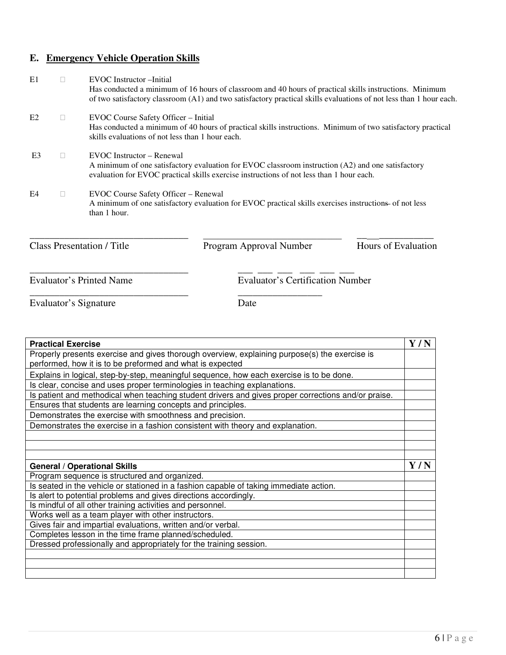### **E. Emergency Vehicle Operation Skills**

E1 EVOC Instructor –Initial Has conducted a minimum of 16 hours of classroom and 40 hours of practical skills instructions. Minimum of two satisfactory classroom (A1) and two satisfactory practical skills evaluations of not less than 1 hour each. E2 EVOC Course Safety Officer – Initial Has conducted a minimum of 40 hours of practical skills instructions. Minimum of two satisfactory practical skills evaluations of not less than 1 hour each. E3 EVOC Instructor – Renewal A minimum of one satisfactory evaluation for EVOC classroom instruction (A2) and one satisfactory evaluation for EVOC practical skills exercise instructions of not less than 1 hour each. E4 EVOC Course Safety Officer – Renewal A minimum of one satisfactory evaluation for EVOC practical skills exercises instructions of not less than 1 hour. \_\_\_\_\_\_\_\_\_\_\_\_\_\_\_\_\_\_\_\_\_\_\_\_\_\_\_\_\_\_\_\_ \_\_ \_\_\_\_\_\_\_\_\_\_\_ Class Presentation / Title **Frogram Approval Number** Hours of Evaluation \_\_\_\_\_\_\_\_\_\_\_\_\_\_\_\_\_\_\_\_\_\_\_\_\_\_\_\_\_\_\_\_ \_\_\_ \_\_\_ \_\_\_ \_\_\_ \_\_\_ \_\_\_ Evaluator's Printed Name Evaluator's Certification Number  $\mathcal{L}_\mathcal{L}$  , which is a set of the set of the set of the set of the set of the set of the set of the set of the set of the set of the set of the set of the set of the set of the set of the set of the set of the set of

\_\_\_\_\_\_\_\_\_\_\_\_\_\_\_\_\_\_\_\_\_\_\_\_\_\_\_\_\_\_\_\_ \_\_\_\_\_\_\_\_\_\_\_\_\_\_\_\_\_

| <b>Practical Exercise</b>                                                                                                                                  | Y/N |
|------------------------------------------------------------------------------------------------------------------------------------------------------------|-----|
| Properly presents exercise and gives thorough overview, explaining purpose(s) the exercise is<br>performed, how it is to be preformed and what is expected |     |
| Explains in logical, step-by-step, meaningful sequence, how each exercise is to be done.                                                                   |     |
| Is clear, concise and uses proper terminologies in teaching explanations.                                                                                  |     |
| Is patient and methodical when teaching student drivers and gives proper corrections and/or praise.                                                        |     |
| Ensures that students are learning concepts and principles.                                                                                                |     |
| Demonstrates the exercise with smoothness and precision.                                                                                                   |     |
| Demonstrates the exercise in a fashion consistent with theory and explanation.                                                                             |     |
|                                                                                                                                                            |     |
|                                                                                                                                                            |     |
|                                                                                                                                                            |     |
|                                                                                                                                                            |     |
| <b>General / Operational Skills</b>                                                                                                                        | Y/N |
| Program sequence is structured and organized.                                                                                                              |     |
| Is seated in the vehicle or stationed in a fashion capable of taking immediate action.                                                                     |     |
| Is alert to potential problems and gives directions accordingly.                                                                                           |     |
| Is mindful of all other training activities and personnel.                                                                                                 |     |
| Works well as a team player with other instructors.                                                                                                        |     |
| Gives fair and impartial evaluations, written and/or verbal.                                                                                               |     |
| Completes lesson in the time frame planned/scheduled.                                                                                                      |     |
| Dressed professionally and appropriately for the training session.                                                                                         |     |
|                                                                                                                                                            |     |
|                                                                                                                                                            |     |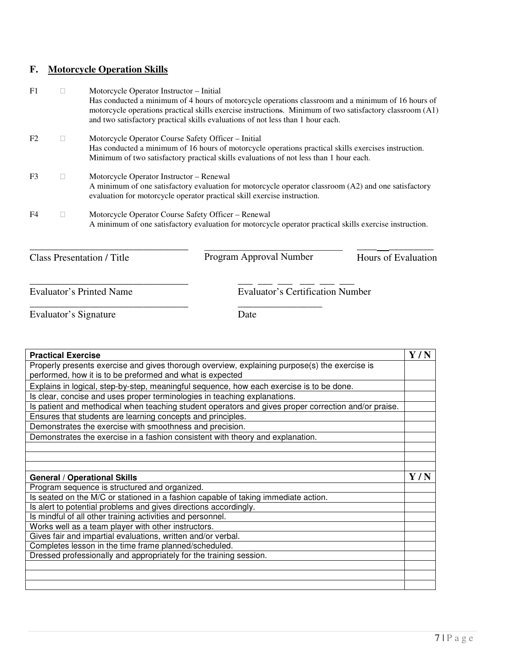## **F. Motorcycle Operation Skills**

| F1             | Motorcycle Operator Instructor – Initial<br>Has conducted a minimum of 4 hours of motorcycle operations classroom and a minimum of 16 hours of<br>motorcycle operations practical skills exercise instructions. Minimum of two satisfactory classroom (A1)<br>and two satisfactory practical skills evaluations of not less than 1 hour each. |
|----------------|-----------------------------------------------------------------------------------------------------------------------------------------------------------------------------------------------------------------------------------------------------------------------------------------------------------------------------------------------|
| F <sub>2</sub> | Motorcycle Operator Course Safety Officer - Initial<br>Has conducted a minimum of 16 hours of motorcycle operations practical skills exercises instruction.<br>Minimum of two satisfactory practical skills evaluations of not less than 1 hour each.                                                                                         |
| F <sub>3</sub> | Motorcycle Operator Instructor – Renewal<br>A minimum of one satisfactory evaluation for motorcycle operator classroom (A2) and one satisfactory<br>evaluation for motorcycle operator practical skill exercise instruction.                                                                                                                  |
| F4             | Motorcycle Operator Course Safety Officer – Renewal<br>A minimum of one satisfactory evaluation for motorcycle operator practical skills exercise instruction.                                                                                                                                                                                |

\_\_\_\_\_\_\_\_\_\_\_\_\_\_\_\_\_\_\_\_\_\_\_\_\_\_\_\_\_\_\_\_ \_\_\_\_ \_\_\_\_\_\_\_\_\_ Class Presentation / Title **Program Approval Number** Hours of Evaluation Program Approval Number

\_\_\_\_\_\_\_\_\_\_\_\_\_\_\_\_\_\_\_\_\_\_\_\_\_\_\_\_

\_\_\_\_\_\_\_\_\_\_\_\_\_\_\_\_\_\_\_\_\_\_\_\_\_\_\_\_\_\_\_\_ \_\_\_ \_\_\_ \_\_\_ \_\_\_ \_\_\_ \_\_\_ Evaluator's Printed Name Evaluator's Certification Number

Evaluator's Signature Date

\_\_\_\_\_\_\_\_\_\_\_\_\_\_\_\_\_\_\_\_\_\_\_\_\_\_\_\_\_\_\_\_ \_\_\_\_\_\_\_\_\_\_\_\_\_\_\_\_\_

| <b>Practical Exercise</b>                                                                                                                                  | Y/N |
|------------------------------------------------------------------------------------------------------------------------------------------------------------|-----|
| Properly presents exercise and gives thorough overview, explaining purpose(s) the exercise is<br>performed, how it is to be preformed and what is expected |     |
| Explains in logical, step-by-step, meaningful sequence, how each exercise is to be done.                                                                   |     |
| Is clear, concise and uses proper terminologies in teaching explanations.                                                                                  |     |
| Is patient and methodical when teaching student operators and gives proper correction and/or praise.                                                       |     |
| Ensures that students are learning concepts and principles.                                                                                                |     |
| Demonstrates the exercise with smoothness and precision.                                                                                                   |     |
| Demonstrates the exercise in a fashion consistent with theory and explanation.                                                                             |     |
|                                                                                                                                                            |     |
|                                                                                                                                                            |     |
|                                                                                                                                                            |     |
| <b>General / Operational Skills</b>                                                                                                                        | Y/N |
| Program sequence is structured and organized.                                                                                                              |     |
| Is seated on the M/C or stationed in a fashion capable of taking immediate action.                                                                         |     |
| Is alert to potential problems and gives directions accordingly.                                                                                           |     |
| Is mindful of all other training activities and personnel.                                                                                                 |     |
| Works well as a team player with other instructors.                                                                                                        |     |
| Gives fair and impartial evaluations, written and/or verbal.                                                                                               |     |
| Completes lesson in the time frame planned/scheduled.                                                                                                      |     |
| Dressed professionally and appropriately for the training session.                                                                                         |     |
|                                                                                                                                                            |     |
|                                                                                                                                                            |     |
|                                                                                                                                                            |     |